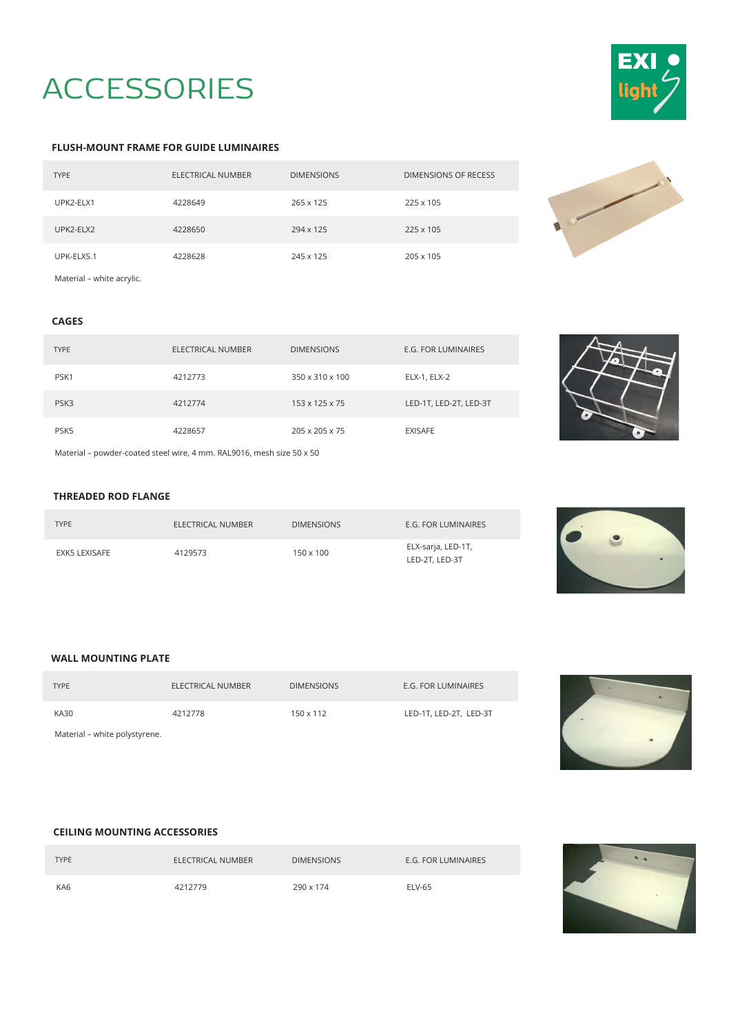# **ACCESSORIES**



#### **FLUSH-MOUNT FRAME FOR GUIDE LUMINAIRES**

| <b>TYPE</b>               | ELECTRICAL NUMBER | <b>DIMENSIONS</b> | DIMENSIONS OF RECESS |
|---------------------------|-------------------|-------------------|----------------------|
| UPK2-ELX1                 | 4228649           | 265 x 125         | 225 x 105            |
| UPK2-ELX2                 | 4228650           | 294 x 125         | 225 x 105            |
| UPK-ELX5.1                | 4228628           | 245 x 125         | 205 x 105            |
| Material - white acrylic. |                   |                   |                      |



## **CAGES**

| <b>TYPE</b>                                                           | ELECTRICAL NUMBER | <b>DIMENSIONS</b>          | E.G. FOR LUMINAIRES    |
|-----------------------------------------------------------------------|-------------------|----------------------------|------------------------|
| PSK1                                                                  | 4212773           | 350 x 310 x 100            | ELX-1, ELX-2           |
| PSK3                                                                  | 4212774           | 153 x 125 x 75             | LED-1T, LED-2T, LED-3T |
| PSK5                                                                  | 4228657           | $205 \times 205 \times 75$ | <b>EXISAFE</b>         |
| Material - powder-coated steel wire, 4 mm. RAL9016, mesh size 50 x 50 |                   |                            |                        |

#### **THREADED ROD FLANGE**

| <b>TYPE</b>   | ELECTRICAL NUMBER | <b>DIMENSIONS</b> | E.G. FOR LUMINAIRES                  |
|---------------|-------------------|-------------------|--------------------------------------|
| EXK5 LEXISAFE | 4129573           | $150 \times 100$  | ELX-sarja, LED-1T,<br>LED-2T. LED-3T |



### **WALL MOUNTING PLATE**

| <b>TYPE</b>                   | ELECTRICAL NUMBER | <b>DIMENSIONS</b> | E.G. FOR LUMINAIRES    |
|-------------------------------|-------------------|-------------------|------------------------|
| <b>KA30</b>                   | 4212778           | $150 \times 112$  | LED-1T, LED-2T, LED-3T |
| Material - white polystyrene. |                   |                   |                        |



## **CEILING MOUNTING ACCESSORIES**

| <b>TYPE</b> | ELECTRICAL NUMBER | <b>DIMENSIONS</b> | <b>E.G. FOR LUMINAIRES</b> |
|-------------|-------------------|-------------------|----------------------------|
| KA6         | 4212779           | 290 x 174         | ELV-65                     |